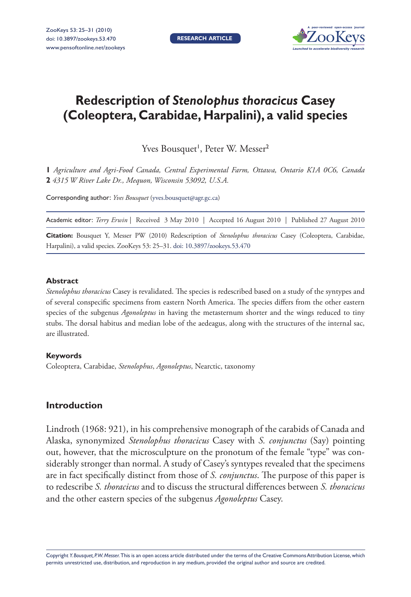**RESEARCH ARTICLE**



# **Redescription of** *Stenolophus thoracicus* **Casey (Coleoptera, Carabidae, Harpalini), a valid species**

Yves Bousquet<sup>1</sup>, Peter W. Messer<sup>2</sup>

**1** *Agriculture and Agri-Food Canada, Central Experimental Farm, Ottawa, Ontario K1A 0C6, Canada*  **2** *4315 W River Lake Dr., Mequon, Wisconsin 53092, U.S.A.*

Corresponding author: *Yves Bousquet* (yves.bousquet@agr.gc.ca)

Academic editor: *Terry Erwin* | Received 3 May 2010 | Accepted 16 August 2010 | Published 27 August 2010

Citation: Bousquet Y, Messer PW (2010) Redescription of *Stenolophus thoracicus* Casey (Coleoptera, Carabidae, Harpalini), a valid species. ZooKeys 53: 25-31. [doi: 10.3897/zookeys.53.470](http://dx.doi.org/10.3897/zookeys.53.470)

#### **Abstract**

*Stenolophus thoracicus* Casey is revalidated. The species is redescribed based on a study of the syntypes and of several conspecific specimens from eastern North America. The species differs from the other eastern species of the subgenus *Agonoleptus* in having the metasternum shorter and the wings reduced to tiny stubs. The dorsal habitus and median lobe of the aedeagus, along with the structures of the internal sac, are illustrated.

#### **Keywords**

Coleoptera, Carabidae, *Stenolophus*, *Agonoleptus*, Nearctic, taxonomy

## **Introduction**

 Lindroth (1968: 921), in his comprehensive monograph of the carabids of Canada and Alaska, synonymized *Stenolophus thoracicus* Casey with *S. conjunctus* (Say) pointing out, however, that the microsculpture on the pronotum of the female "type" was considerably stronger than normal. A study of Casey's syntypes revealed that the specimens are in fact specifically distinct from those of *S. conjunctus*. The purpose of this paper is to redescribe *S. thoracicus* and to discuss the structural differences between *S. thoracicus* and the other eastern species of the subgenus *Agonoleptus* Casey.

Copyright *Y. Bousquet, P.W. Messer.* This is an open access article distributed under the terms of th[e Creative Commons Attribution License,](http://creativecommons.org/licenses/by/3.0/) which permits unrestricted use, distribution, and reproduction in any medium, provided the original author and source are credited.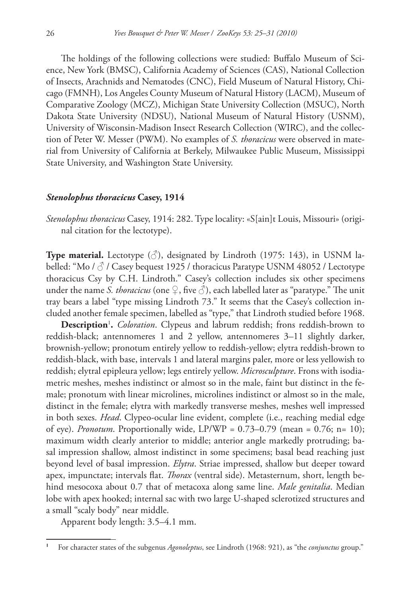The holdings of the following collections were studied: Buffalo Museum of Science, New York (BMSC), California Academy of Sciences (CAS), National Collection of Insects, Arachnids and Nematodes (CNC), Field Museum of Natural History, Chicago (FMNH), Los Angeles County Museum of Natural History (LACM), Museum of Comparative Zoology (MCZ), Michigan State University Collection (MSUC), North Dakota State University (NDSU), National Museum of Natural History (USNM), University of Wisconsin-Madison Insect Research Collection (WIRC), and the collection of Peter W. Messer (PWM). No examples of *S. thoracicus* were observed in material from University of California at Berkely, Milwaukee Public Museum, Mississippi State University, and Washington State University.

#### *Stenolophus thoracicus* **Casey, 1914**

 *Stenolophus thoracicus* Casey, 1914: 282. Type locality: «S[ain]t Louis, Missouri» (original citation for the lectotype).

**Type material.** Lectotype  $(\vec{\delta})$ , designated by Lindroth (1975: 143), in USNM labelled: "Mo /  $\circ$  / Casey bequest 1925 / thoracicus Paratype USNM 48052 / Lectotype thoracicus Csy by C.H. Lindroth." Casey's collection includes six other specimens under the name *S. thoracicus* (one  $\varphi$ , five  $\varphi$ ), each labelled later as "paratype." The unit tray bears a label "type missing Lindroth 73." It seems that the Casey's collection included another female specimen, labelled as "type," that Lindroth studied before 1968.

 **Description** <sup>1</sup> **.** *Coloration*. Clypeus and labrum reddish; frons reddish-brown to reddish-black; antennomeres 1 and 2 yellow, antennomeres 3–11 slightly darker, brownish-yellow; pronotum entirely yellow to reddish-yellow; elytra reddish-brown to reddish-black, with base, intervals 1 and lateral margins paler, more or less yellowish to reddish; elytral epipleura yellow; legs entirely yellow. *Microsculpture*. Frons with isodiametric meshes, meshes indistinct or almost so in the male, faint but distinct in the female; pronotum with linear microlines, microlines indistinct or almost so in the male, distinct in the female; elytra with markedly transverse meshes, meshes well impressed in both sexes. *Head*. Clypeo-ocular line evident, complete (i.e., reaching medial edge of eye). *Pronotum*. Proportionally wide, LP/WP =  $0.73-0.79$  (mean =  $0.76$ ; n= 10); maximum width clearly anterior to middle; anterior angle markedly protruding; basal impression shallow, almost indistinct in some specimens; basal bead reaching just beyond level of basal impression. *Elytra*. Striae impressed, shallow but deeper toward apex, impunctate; intervals flat. *Thorax* (ventral side). Metasternum, short, length behind mesocoxa about 0.7 that of metacoxa along same line. *Male genitalia*. Median lobe with apex hooked; internal sac with two large U-shaped sclerotized structures and a small "scaly body" near middle.

Apparent body length: 3.5–4.1 mm.

**<sup>1</sup>** For character states of the subgenus *Agonoleptus*, see Lindroth (1968: 921), as "the *conjunctus* group."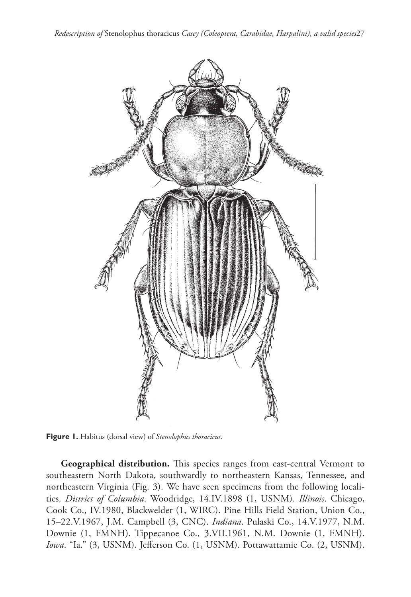*Redescription of* Stenolophus thoracicus *Casey (Coleoptera, Carabidae, Harpalini), a valid species*27



**Figure 1.** Habitus (dorsal view) of *Stenolophus thoracicus*.

**Geographical distribution.** This species ranges from east-central Vermont to southeastern North Dakota, southwardly to northeastern Kansas, Tennessee, and northeastern Virginia (Fig. 3). We have seen specimens from the following localities. *District of Columbia*. Woodridge, 14.IV.1898 (1, USNM). *Illinois*. Chicago, Cook Co., IV.1980, Blackwelder (1, WIRC). Pine Hills Field Station, Union Co., 15–22.V.1967, J.M. Campbell (3, CNC). *Indiana*. Pulaski Co., 14.V.1977, N.M. Downie (1, FMNH). Tippecanoe Co., 3.VII.1961, N.M. Downie (1, FMNH). Iowa. "Ia." (3, USNM). Jefferson Co. (1, USNM). Pottawattamie Co. (2, USNM).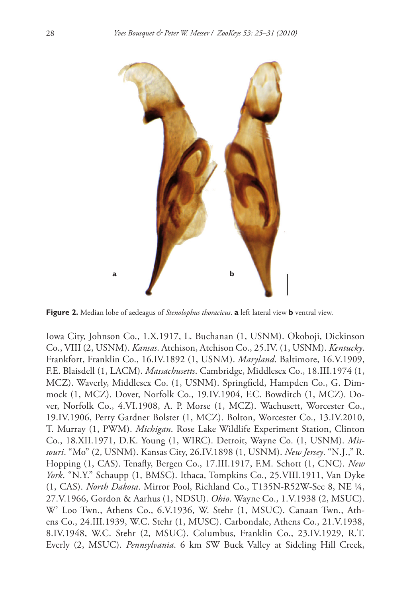

**Figure 2.** Median lobe of aedeagus of *Stenolophus thoracicus*. **a** left lateral view **b** ventral view.

Iowa City, Johnson Co., 1.X.1917, L. Buchanan (1, USNM). Okoboji, Dickinson Co., VIII (2, USNM). *Kansas*. Atchison, Atchison Co., 25.IV. (1, USNM). *Kentucky*. Frankfort, Franklin Co., 16.IV.1892 (1, USNM). *Maryland*. Baltimore, 16.V.1909, F.E. Blaisdell (1, LACM). *Massachusetts*. Cambridge, Middlesex Co., 18.III.1974 (1, MCZ). Waverly, Middlesex Co. (1, USNM). Springfield, Hampden Co., G. Dimmock (1, MCZ). Dover, Norfolk Co., 19.IV.1904, F.C. Bowditch (1, MCZ). Dover, Norfolk Co., 4.VI.1908, A. P. Morse (1, MCZ). Wachusett, Worcester Co., 19.IV.1906, Perry Gardner Bolster (1, MCZ). Bolton, Worcester Co., 13.IV.2010, T. Murray (1, PWM). *Michigan*. Rose Lake Wildlife Experiment Station, Clinton Co., 18.XII.1971, D.K. Young (1, WIRC). Detroit, Wayne Co. (1, USNM). *Missouri*. "Mo" (2, USNM). Kansas City, 26.IV.1898 (1, USNM). *New Jersey*. "N.J.," R. Hopping (1, CAS). Tenafly, Bergen Co., 17.III.1917, F.M. Schott (1, CNC). *New York*. "N.Y." Schaupp (1, BMSC). Ithaca, Tompkins Co., 25.VIII.1911, Van Dyke (1, CAS). *North Dakota*. Mirror Pool, Richland Co., T135N-R52W-Sec 8, NE ¼, 27.V.1966, Gordon & Aarhus (1, NDSU). *Ohio*. Wayne Co., 1.V.1938 (2, MSUC). W' Loo Twn., Athens Co., 6.V.1936, W. Stehr (1, MSUC). Canaan Twn., Athens Co., 24.III.1939, W.C. Stehr (1, MUSC). Carbondale, Athens Co., 21.V.1938, 8.IV.1948, W.C. Stehr (2, MSUC). Columbus, Franklin Co., 23.IV.1929, R.T. Everly (2, MSUC). *Pennsylvania*. 6 km SW Buck Valley at Sideling Hill Creek,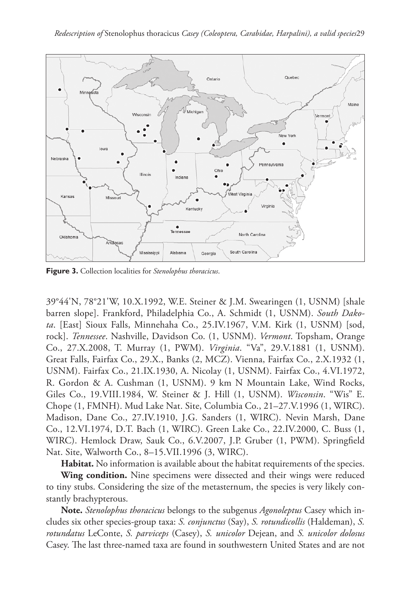

**Figure 3.** Collection localities for *Stenolophus thoracicus*.

39°44'N, 78°21'W, 10.X.1992, W.E. Steiner & J.M. Swearingen (1, USNM) [shale barren slope]. Frankford, Philadelphia Co., A. Schmidt (1, USNM). *South Dakota*. [East] Sioux Falls, Minnehaha Co., 25.IV.1967, V.M. Kirk (1, USNM) [sod, rock]. *Tennessee*. Nashville, Davidson Co. (1, USNM). *Vermont*. Topsham, Orange Co., 27.X.2008, T. Murray (1, PWM). *Virginia*. "Va", 29.V.1881 (1, USNM). Great Falls, Fairfax Co., 29.X., Banks (2, MCZ). Vienna, Fairfax Co., 2.X.1932 (1, USNM). Fairfax Co., 21.IX.1930, A. Nicolay (1, USNM). Fairfax Co., 4.VI.1972, R. Gordon & A. Cushman (1, USNM). 9 km N Mountain Lake, Wind Rocks, Giles Co., 19.VIII.1984, W. Steiner & J. Hill (1, USNM). *Wisconsin*. "Wis" E. Chope (1, FMNH). Mud Lake Nat. Site, Columbia Co., 21–27.V.1996 (1, WIRC). Madison, Dane Co., 27.IV.1910, J.G. Sanders (1, WIRC). Nevin Marsh, Dane Co., 12.VI.1974, D.T. Bach (1, WIRC). Green Lake Co., 22.IV.2000, C. Buss (1, WIRC). Hemlock Draw, Sauk Co., 6.V.2007, J.P. Gruber (1, PWM). Springfield Nat. Site, Walworth Co., 8–15.VII.1996 (3, WIRC).

 **Habitat.** No information is available about the habitat requirements of the species.

 **Wing condition.** Nine specimens were dissected and their wings were reduced to tiny stubs. Considering the size of the metasternum, the species is very likely constantly brachypterous.

 **Note.** *Stenolophus thoracicus* belongs to the subgenus *Agonoleptus* Casey which includes six other species-group taxa: *S. conjunctus* (Say), *S. rotundicollis* (Haldeman), *S. rotundatus* LeConte, *S. parviceps* (Casey), *S. unicolor* Dejean, and *S. unicolor dolosus* Casey. The last three-named taxa are found in southwestern United States and are not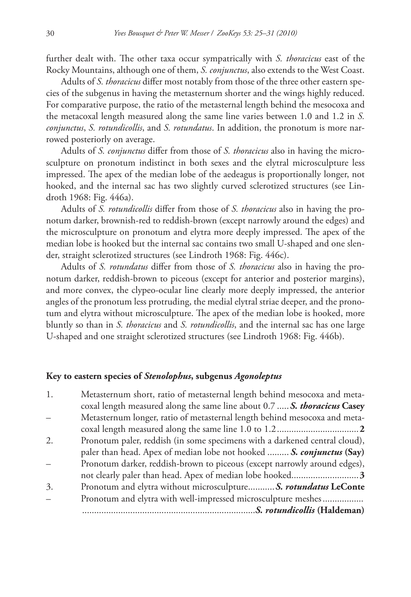further dealt with. The other taxa occur sympatrically with *S. thoracicus* east of the Rocky Mountains, although one of them, *S. conjunctus*, also extends to the West Coast.

Adults of *S. thoracicus* differ most notably from those of the three other eastern species of the subgenus in having the metasternum shorter and the wings highly reduced. For comparative purpose, the ratio of the metasternal length behind the mesocoxa and the metacoxal length measured along the same line varies between 1.0 and 1.2 in *S. conjunctus*, *S. rotundicollis*, and *S. rotundatus*. In addition, the pronotum is more narrowed posteriorly on average.

Adults of *S. conjunctus* differ from those of *S. thoracicus* also in having the microsculpture on pronotum indistinct in both sexes and the elytral microsculpture less impressed. The apex of the median lobe of the aedeagus is proportionally longer, not hooked, and the internal sac has two slightly curved sclerotized structures (see Lindroth 1968: Fig. 446a).

Adults of *S. rotundicollis* differ from those of *S. thoracicus* also in having the pronotum darker, brownish-red to reddish-brown (except narrowly around the edges) and the microsculpture on pronotum and elytra more deeply impressed. The apex of the median lobe is hooked but the internal sac contains two small U-shaped and one slender, straight sclerotized structures (see Lindroth 1968: Fig. 446c).

Adults of *S. rotundatus* differ from those of *S. thoracicus* also in having the pronotum darker, reddish-brown to piceous (except for anterior and posterior margins), and more convex, the clypeo-ocular line clearly more deeply impressed, the anterior angles of the pronotum less protruding, the medial elytral striae deeper, and the pronotum and elytra without microsculpture. The apex of the median lobe is hooked, more bluntly so than in *S. thoracicus* and *S. rotundicollis*, and the internal sac has one large U-shaped and one straight sclerotized structures (see Lindroth 1968: Fig. 446b).

### **Key to eastern species of** *Stenolophus* **, subgenus** *Agonoleptus*

| 1. | Metasternum short, ratio of metasternal length behind mesocoxa and meta-   |
|----|----------------------------------------------------------------------------|
|    | coxal length measured along the same line about 0.7  S. thoracicus Casey   |
|    | Metasternum longer, ratio of metasternal length behind mesocoxa and meta-  |
|    |                                                                            |
| 2. | Pronotum paler, reddish (in some specimens with a darkened central cloud), |
|    | paler than head. Apex of median lobe not hooked  S. conjunctus (Say)       |
|    | Pronotum darker, reddish-brown to piceous (except narrowly around edges),  |
|    |                                                                            |
| 3. | Pronotum and elytra without microsculpture S. rotundatus LeConte           |
|    | Pronotum and elytra with well-impressed microsculpture meshes              |
|    | S. rotundicollis (Haldeman)                                                |
|    |                                                                            |